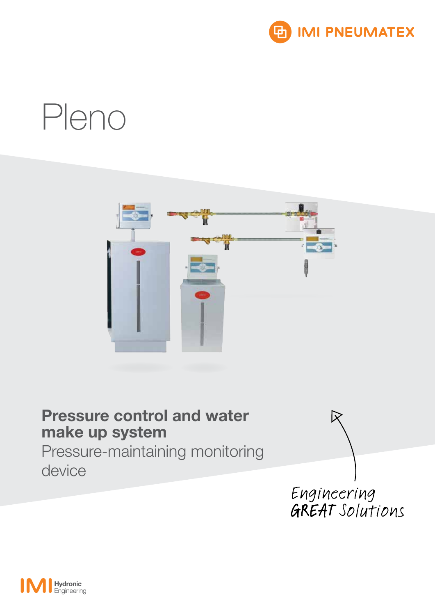

# Pleno



## Pressure control and water make up system

Pressure-maintaining monitoring device



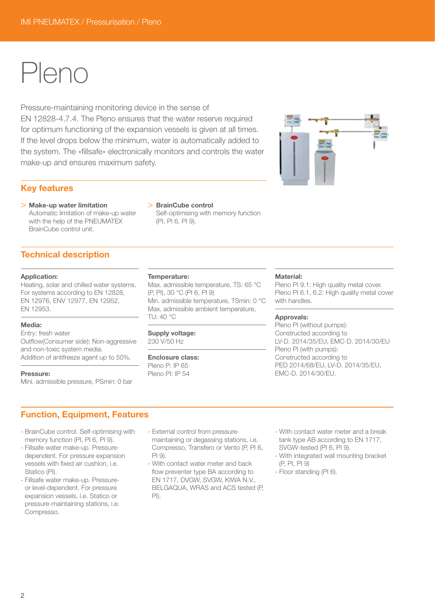## Pleno

Pressure-maintaining monitoring device in the sense of EN 12828-4.7.4. The Pleno ensures that the water reserve required for optimum functioning of the expansion vessels is given at all times. If the level drops below the minimum, water is automatically added to the system. The «fillsafe» electronically monitors and controls the water make-up and ensures maximum safety.

## Key features

> Make-up water limitation Automatic limitation of make-up water with the help of the PNEUMATEX BrainCube control unit.

### > BrainCube control

Self-optimising with memory function (PI, PI 6, PI 9).

## Technical description

#### Application:

Heating, solar and chilled water systems. For systems according to EN 12828, EN 12976, ENV 12977, EN 12952, EN 12953.

### Media:

Entry: fresh water

Outflow(Consumer side): Non-aggressive and non-toxic system media. Addition of antifreeze agent up to 50%.

#### Pressure:

Mini. admissible pressure, PSmin: 0 bar

#### Temperature:

Max. admissible temperature, TS: 65 °C (P, PI), 30 °C (PI 6, PI 9) Min. admissible temperature, TSmin: 0 °C Max. admissible ambient temperature, TU: 40 °C

## Supply voltage:

230 V/50 Hz

## Enclosure class:

Pleno P: IP 65 Pleno PI: IP 54

#### Material:

Pleno PI 9.1: High quality metal cover. Pleno PI 6.1, 6.2: High quality metal cover with handles.

#### Approvals:

Pleno PI (without pumps): Constructed according to LV-D. 2014/35/EU, EMC-D. 2014/30/EU Pleno PI (with pumps): Constructed according to PED 2014/68/EU, LV-D. 2014/35/EU, EMC-D. 2014/30/EU.

## Function, Equipment, Features

- BrainCube control. Self-optimising with memory function (PI, PI 6, PI 9).
- Fillsafe water make-up. Pressuredependent. For pressure expansion vessels with fixed air cushion, i.e. Statico (PI).
- Fillsafe water make-up. Pressureor level-dependent. For pressure expansion vessels, i.e. Statico or pressure-maintaining stations, i.e. Compresso.
- External control from pressuremaintaining or degassing stations, i.e. Compresso, Transfero or Vento (P, PI 6,  $PI$  9).
- With contact water meter and back flow preventer type BA according to EN 1717, DVGW, SVGW, KIWA N.V., BELGAQUA, WRAS and ACS tested (P, PI).
- With contact water meter and a break tank type AB according to EN 1717, SVGW-tested (PI 6, PI 9).
- With integrated wall mounting bracket (P, PI, PI 9)
- Floor standing (PI 6).

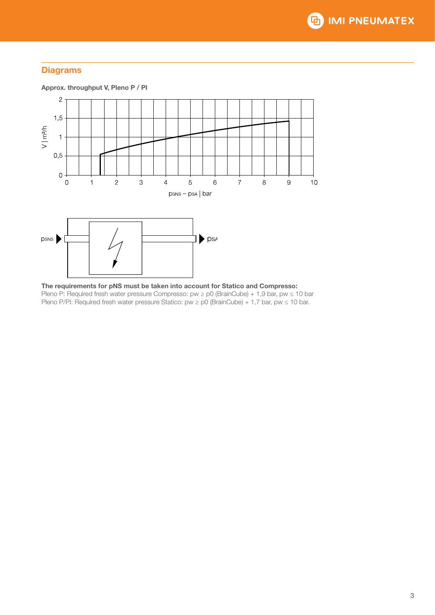## **Diagrams**



The requirements for pNS must be taken into account for Statico and Compresso: Pleno P: Required fresh water pressure Compresso: pw ≥ p0 (BrainCube) + 1,9 bar, pw ≤ 10 bar Pleno P/PI: Required fresh water pressure Statico: pw ≥ p0 (BrainCube) + 1,7 bar, pw ≤ 10 bar.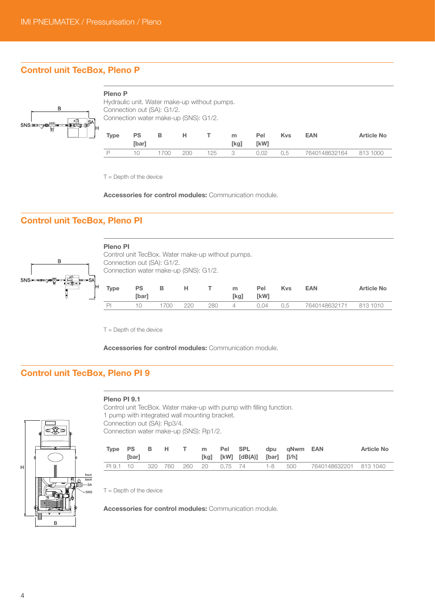## Control unit TecBox, Pleno P



#### Pleno P



| Type | <b>PS</b>     | в    | н.  |     | m    | Pel         | <b>Kys</b> | <b>EAN</b>             | Article No |
|------|---------------|------|-----|-----|------|-------------|------------|------------------------|------------|
|      | <b>T</b> barl |      |     |     | [kg] | <b>TkW1</b> |            |                        |            |
| P    | 10.           | 1700 | 200 | 125 | - 3  | 0.02        | 0.5        | 7640148632164 813 1000 |            |

 $T =$  Depth of the device

Accessories for control modules: Communication module.

## Control unit TecBox, Pleno PI



## Pleno PI

| Fieno Fi    |           |                                       |     |     |                                                   |      |            |               |                   |
|-------------|-----------|---------------------------------------|-----|-----|---------------------------------------------------|------|------------|---------------|-------------------|
|             |           |                                       |     |     | Control unit TecBox. Water make-up without pumps. |      |            |               |                   |
|             |           | Connection out (SA): G1/2.            |     |     |                                                   |      |            |               |                   |
|             |           | Connection water make-up (SNS): G1/2. |     |     |                                                   |      |            |               |                   |
|             |           |                                       |     |     |                                                   |      |            |               |                   |
| <b>Type</b> | <b>PS</b> | в                                     | н   |     | m                                                 | Pel  | <b>Kys</b> | <b>EAN</b>    | <b>Article No</b> |
|             | [bar]     |                                       |     |     | [kg]                                              | [kW] |            |               |                   |
|             |           | 1700                                  | 220 | 280 | 4                                                 | 0.04 | U.5        | 7640148632171 | 813 1010          |

T = Depth of the device

Accessories for control modules: Communication module.

## Control unit TecBox, Pleno PI 9

#### Pleno PI 9.1

front back SA SNS B H

Control unit TecBox. Water make-up with pump with filling function. 1 pump with integrated wall mounting bracket. Connection out (SA): Rp3/4. Connection water make-up (SNS): Rp1/2.

| Type PS   | [bar] | в. | . H. | T m | Pel SPL                | [kg] $[kW]$ $[dB(A)]$ $[bar]$ $[l/h]$ |         | dpu qNwm EAN |                        | <b>Article No</b> |
|-----------|-------|----|------|-----|------------------------|---------------------------------------|---------|--------------|------------------------|-------------------|
| PI 9.1 10 |       |    |      |     | 320 760 260 20 0,75 74 |                                       | 1-8 500 |              | 7640148632201 813 1040 |                   |

 $T =$  Depth of the device

Accessories for control modules: Communication module.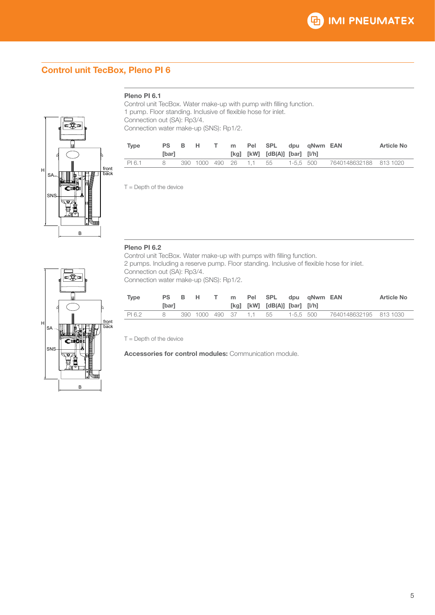## Control unit TecBox, Pleno PI 6

### Pleno PI 6.1

Control unit TecBox. Water make-up with pump with filling function. 1 pump. Floor standing. Inclusive of flexible hose for inlet. Connection out (SA): Rp3/4. Connection water make-up (SNS): Rp1/2.

| <b>Type</b><br><b>PS</b><br><b>T</b> barl | <b>B</b> | н.                     |  | m Pel SPL dou aNwm EAN<br>[kg] $[kW]$ $[dB(A)]$ $[bar]$ $[l/h]$ |  |                                  | <b>Article No</b> |
|-------------------------------------------|----------|------------------------|--|-----------------------------------------------------------------|--|----------------------------------|-------------------|
| PI 6.1<br>x                               |          | 390 1000 490 26 1.1 55 |  |                                                                 |  | 1-5.5 500 7640148632188 813 1020 |                   |

 $T =$  Depth of the device

Pleno PI 6.2 Control unit TecBox. Water make-up with pumps with filling function. 2 pumps. Including a reserve pump. Floor standing. Inclusive of flexible hose for inlet. Connection out (SA): Rp3/4. Connection water make-up (SNS): Rp1/2.

| Type   | <b>T</b> barl |  |  |                        | PS B H T m Pel SPL dpu aNwm EAN<br>[kg] [kW] [dB(A)] [bar] [l/h] |           |                        | Article No |
|--------|---------------|--|--|------------------------|------------------------------------------------------------------|-----------|------------------------|------------|
| PI 6.2 | 8             |  |  | 390 1000 490 37 1.1 55 |                                                                  | 1-5.5 500 | 7640148632195 813 1030 |            |

T = Depth of the device

Accessories for control modules: Communication module.